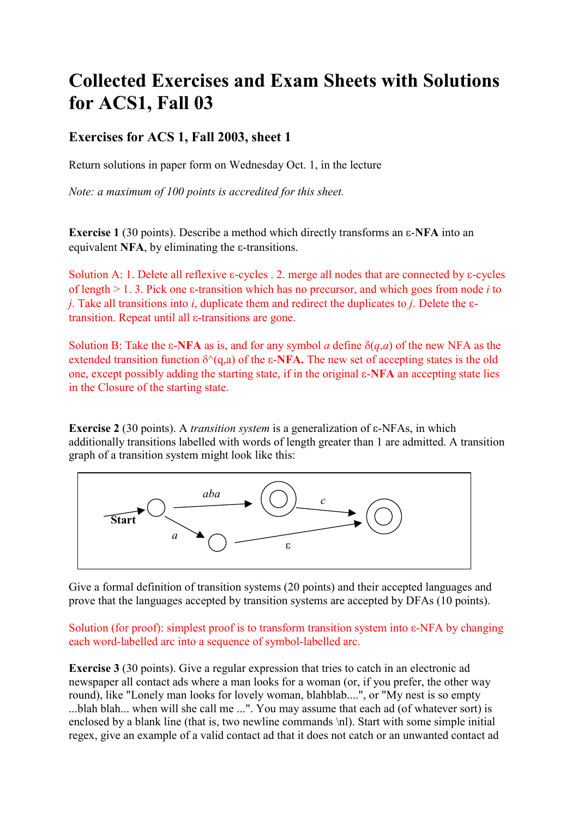# **Collected Exercises and Exam Sheets with Solutions for ACS1, Fall 03**

## **Exercises for ACS 1, Fall 2003, sheet 1**

Return solutions in paper form on Wednesday Oct. 1, in the lecture

*Note: a maximum of 100 points is accredited for this sheet.* 

**Exercise 1** (30 points). Describe a method which directly transforms an  $\epsilon$ -**NFA** into an equivalent **NFA**, by eliminating the  $\varepsilon$ -transitions.

Solution A: 1. Delete all reflexive  $\varepsilon$ -cycles . 2. merge all nodes that are connected by  $\varepsilon$ -cycles of length  $> 1$ . 3. Pick one  $\varepsilon$ -transition which has no precursor, and which goes from node *i* to *j*. Take all transitions into *i*, duplicate them and redirect the duplicates to *j*. Delete the  $\varepsilon$ transition. Repeat until all  $\varepsilon$ -transitions are gone.

Solution B: Take the  $\varepsilon$ -NFA as is, and for any symbol *a* define  $\delta(q,a)$  of the new NFA as the extended transition function  $\delta^{(q)}(q,a)$  of the  $\epsilon$ -**NFA.** The new set of accepting states is the old one, except possibly adding the starting state, if in the original  $\varepsilon$ -**NFA** an accepting state lies in the Closure of the starting state.

**Exercise 2** (30 points). A *transition system* is a generalization of  $\varepsilon$ -NFAs, in which additionally transitions labelled with words of length greater than 1 are admitted. A transition graph of a transition system might look like this:



Give a formal definition of transition systems (20 points) and their accepted languages and prove that the languages accepted by transition systems are accepted by DFAs (10 points).

Solution (for proof): simplest proof is to transform transition system into  $\varepsilon$ -NFA by changing each word-labelled arc into a sequence of symbol-labelled arc.

**Exercise 3** (30 points). Give a regular expression that tries to catch in an electronic ad newspaper all contact ads where a man looks for a woman (or, if you prefer, the other way round), like "Lonely man looks for lovely woman, blahblab....", or "My nest is so empty ...blah blah... when will she call me ...". You may assume that each ad (of whatever sort) is enclosed by a blank line (that is, two newline commands \nl). Start with some simple initial regex, give an example of a valid contact ad that it does not catch or an unwanted contact ad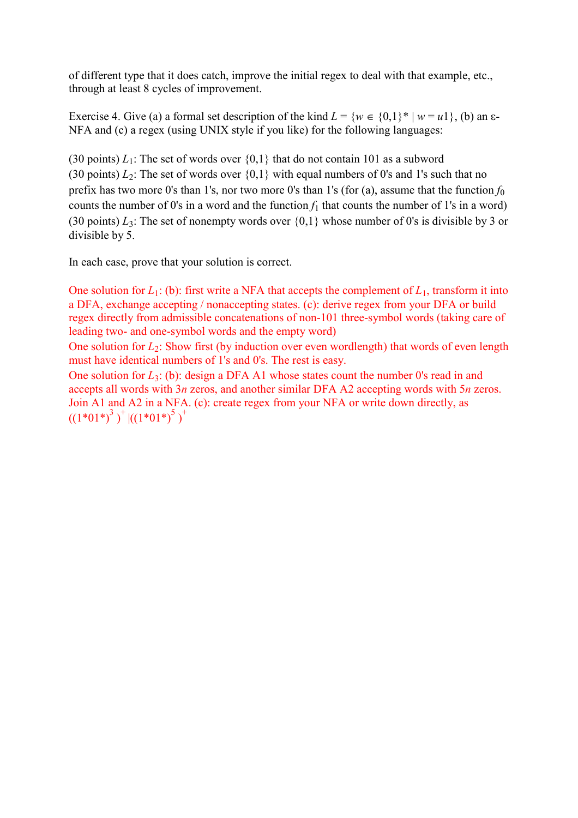of different type that it does catch, improve the initial regex to deal with that example, etc., through at least 8 cycles of improvement.

Exercise 4. Give (a) a formal set description of the kind  $L = \{w \in \{0,1\}^* | w = u_1\}$ , (b) an  $\varepsilon$ -NFA and (c) a regex (using UNIX style if you like) for the following languages:

(30 points)  $L_1$ : The set of words over  $\{0,1\}$  that do not contain 101 as a subword (30 points)  $L_2$ : The set of words over  $\{0,1\}$  with equal numbers of 0's and 1's such that no prefix has two more 0's than 1's, nor two more 0's than 1's (for  $(a)$ ), assume that the function  $f_0$ counts the number of 0's in a word and the function  $f_1$  that counts the number of 1's in a word) (30 points)  $L_3$ : The set of nonempty words over  $\{0,1\}$  whose number of 0's is divisible by 3 or divisible by 5.

In each case, prove that your solution is correct.

One solution for  $L_1$ : (b): first write a NFA that accepts the complement of  $L_1$ , transform it into a DFA, exchange accepting / nonaccepting states. (c): derive regex from your DFA or build regex directly from admissible concatenations of non-101 three-symbol words (taking care of leading two- and one-symbol words and the empty word)

One solution for *L*<sub>2</sub>: Show first (by induction over even wordlength) that words of even length must have identical numbers of 1's and 0's. The rest is easy.

One solution for *L*<sub>3</sub>: (b): design a DFA A1 whose states count the number 0's read in and accepts all words with 3*n* zeros, and another similar DFA A2 accepting words with 5*n* zeros. Join A1 and A2 in a NFA. (c): create regex from your NFA or write down directly, as  $((1*01*)^3)^+$  | $((1*01*)^5)^+$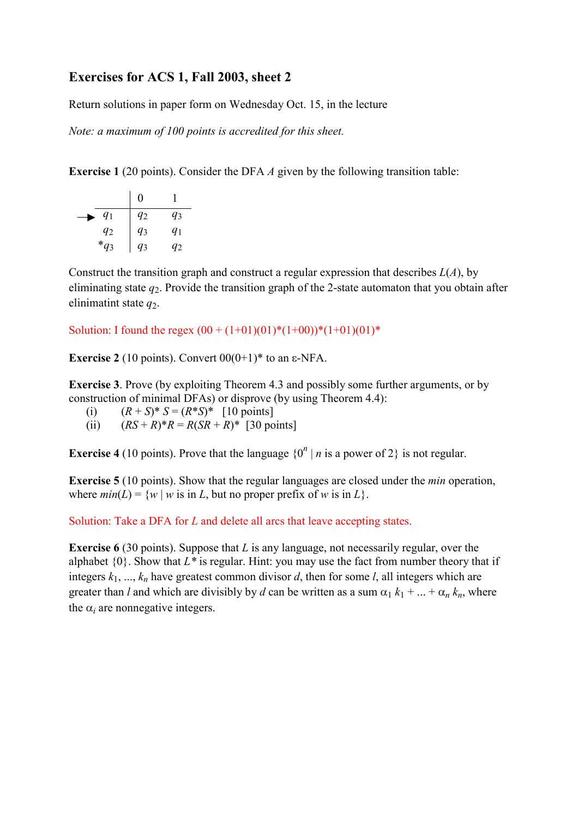## **Exercises for ACS 1, Fall 2003, sheet 2**

Return solutions in paper form on Wednesday Oct. 15, in the lecture

*Note: a maximum of 100 points is accredited for this sheet.* 

**Exercise 1** (20 points). Consider the DFA *A* given by the following transition table:

|           | 0     |       |
|-----------|-------|-------|
| $q_1$     | $q_2$ | q3    |
| $q_2$     | $q_3$ | $q_1$ |
| $*_{q_3}$ | $q_3$ | 92    |

Construct the transition graph and construct a regular expression that describes *L*(*A*), by eliminating state  $q_2$ . Provide the transition graph of the 2-state automaton that you obtain after elinimatint state  $q_2$ .

Solution: I found the regex  $(00 + (1+01)(01)*(1+00))*(1+01)(01)*$ 

**Exercise 2** (10 points). Convert  $00(0+1)$ <sup>\*</sup> to an  $\varepsilon$ -NFA.

**Exercise 3**. Prove (by exploiting Theorem 4.3 and possibly some further arguments, or by construction of minimal DFAs) or disprove (by using Theorem 4.4):

(i)  $(R + S)^* S = (R^* S)^*$  [10 points]

(ii)  $(RS + R)^*R = R(SR + R)^*$  [30 points]

**Exercise 4** (10 points). Prove that the language  $\{0^n \mid n \text{ is a power of } 2\}$  is not regular.

**Exercise 5** (10 points). Show that the regular languages are closed under the *min* operation, where  $min(L) = \{w \mid w \text{ is in } L, \text{ but no proper prefix of } w \text{ is in } L\}.$ 

Solution: Take a DFA for *L* and delete all arcs that leave accepting states.

**Exercise 6** (30 points). Suppose that *L* is any language, not necessarily regular, over the alphabet  $\{0\}$ . Show that  $L^*$  is regular. Hint: you may use the fact from number theory that if integers  $k_1, ..., k_n$  have greatest common divisor *d*, then for some *l*, all integers which are greater than *l* and which are divisibly by *d* can be written as a sum  $\alpha_1 k_1 + ... + \alpha_n k_n$ , where the  $\alpha_i$  are nonnegative integers.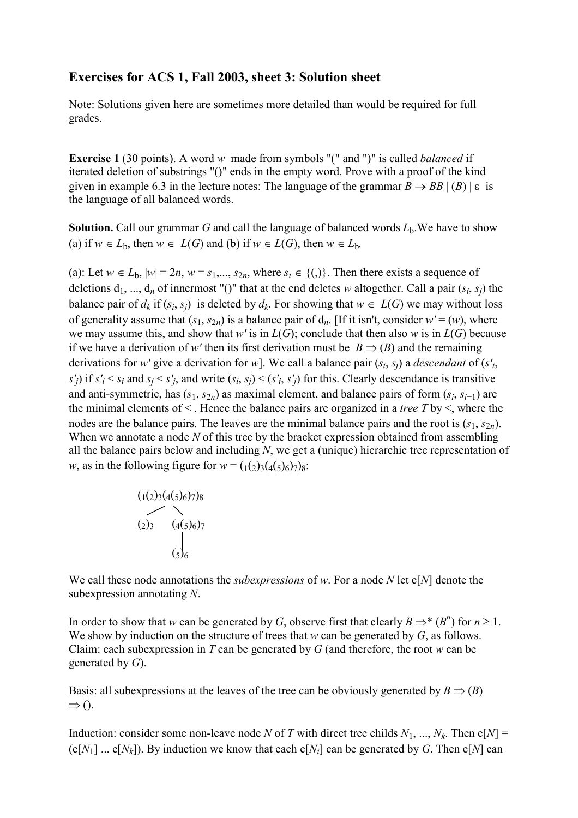#### **Exercises for ACS 1, Fall 2003, sheet 3: Solution sheet**

Note: Solutions given here are sometimes more detailed than would be required for full grades.

**Exercise 1** (30 points). A word *w* made from symbols "(" and ")" is called *balanced* if iterated deletion of substrings "()" ends in the empty word. Prove with a proof of the kind given in example 6.3 in the lecture notes: The language of the grammar  $B \to BB \mid (B) \mid \varepsilon$  is the language of all balanced words.

**Solution.** Call our grammar *G* and call the language of balanced words  $L<sub>b</sub>$ . We have to show (a) if  $w \in L_b$ , then  $w \in L(G)$  and (b) if  $w \in L(G)$ , then  $w \in L_b$ .

(a): Let  $w \in L_b$ ,  $|w| = 2n$ ,  $w = s_1, ..., s_{2n}$ , where  $s_i \in \{()\}$ . Then there exists a sequence of deletions  $d_1, ..., d_n$  of innermost "()" that at the end deletes *w* altogether. Call a pair  $(s_i, s_j)$  the balance pair of  $d_k$  if  $(s_i, s_j)$  is deleted by  $d_k$ . For showing that  $w \in L(G)$  we may without loss of generality assume that  $(s_1, s_{2n})$  is a balance pair of  $d_n$ . [If it isn't, consider  $w' = (w)$ , where we may assume this, and show that *w'* is in  $L(G)$ ; conclude that then also *w* is in  $L(G)$  because if we have a derivation of w' then its first derivation must be  $B \Rightarrow (B)$  and the remaining derivations for *w'* give a derivation for *w*]. We call a balance pair (*si*, *sj*) a *descendant* of (*s'i*,  $s'$ *j*) if  $s'$ <sub>*i*</sub>  $\leq s$ <sub>*i*</sub> and  $s$ <sup>*j*</sup> $\leq s'$ <sub>*i*</sub>, and write  $(s$ *i*,  $s$ <sup>*j*</sup> $)$  $\leq$   $(s'$ *i*,  $s'$ <sup>*j*</sup> $)$  for this. Clearly descendance is transitive and anti-symmetric, has  $(s_1, s_{2n})$  as maximal element, and balance pairs of form  $(s_i, s_{i+1})$  are the minimal elements of < . Hence the balance pairs are organized in a *tree T* by <, where the nodes are the balance pairs. The leaves are the minimal balance pairs and the root is  $(s_1, s_2)$ . When we annotate a node *N* of this tree by the bracket expression obtained from assembling all the balance pairs below and including *N*, we get a (unique) hierarchic tree representation of *w*, as in the following figure for  $w = (1/2)3(4(5)6)78$ :

$$
\begin{array}{c}\n(1(2)3(4(5)6)7)8 \\
(2)3 \quad (4(5)6)7 \\
(5)6\n\end{array}
$$

We call these node annotations the *subexpressions* of *w*. For a node *N* let e[*N*] denote the subexpression annotating *N*.

In order to show that *w* can be generated by *G*, observe first that clearly  $B \Rightarrow^* (B^n)$  for  $n \ge 1$ . We show by induction on the structure of trees that *w* can be generated by *G*, as follows. Claim: each subexpression in *T* can be generated by *G* (and therefore, the root *w* can be generated by *G*).

Basis: all subexpressions at the leaves of the tree can be obviously generated by  $B \Rightarrow (B)$  $\Rightarrow$  ().

Induction: consider some non-leave node *N* of *T* with direct tree childs  $N_1$ , ...,  $N_k$ . Then e[ $N$ ] =  $(e[N_1] \dots e[N_k])$ . By induction we know that each  $e[N_i]$  can be generated by *G*. Then  $e[N]$  can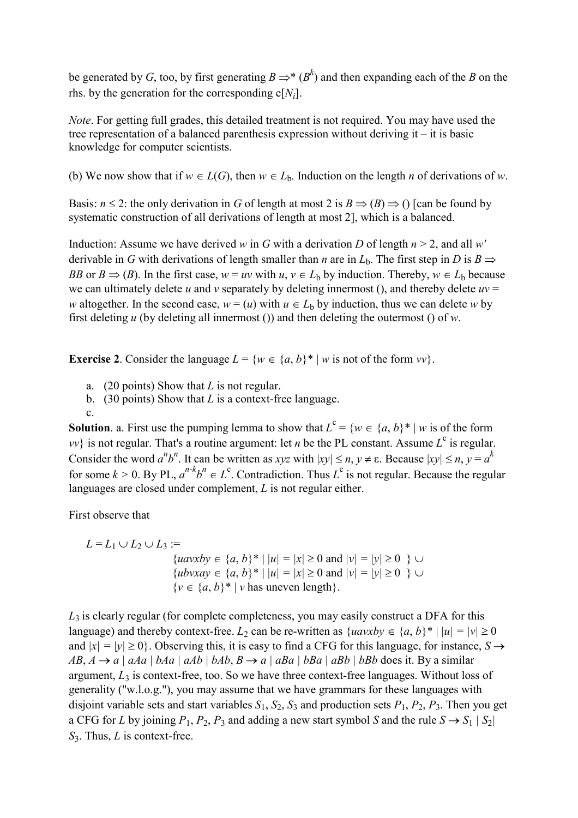be generated by *G*, too, by first generating  $B \Rightarrow^* (B^k)$  and then expanding each of the *B* on the rhs. by the generation for the corresponding  $e[N_i]$ .

*Note*. For getting full grades, this detailed treatment is not required. You may have used the tree representation of a balanced parenthesis expression without deriving it – it is basic knowledge for computer scientists.

(b) We now show that if  $w \in L(G)$ , then  $w \in L_b$ . Induction on the length *n* of derivations of *w*.

Basis:  $n \le 2$ : the only derivation in *G* of length at most 2 is  $B \Rightarrow (B) \Rightarrow$  () [can be found by systematic construction of all derivations of length at most 2], which is a balanced.

Induction: Assume we have derived *w* in *G* with a derivation *D* of length  $n > 2$ , and all *w'* derivable in *G* with derivations of length smaller than *n* are in  $L<sub>b</sub>$ . The first step in *D* is  $B \Rightarrow$ *BB* or  $B \Rightarrow (B)$ . In the first case,  $w = uv$  with  $u, v \in L_b$  by induction. Thereby,  $w \in L_b$  because we can ultimately delete  $u$  and  $v$  separately by deleting innermost (), and thereby delete  $uv =$ *w* altogether. In the second case,  $w = (u)$  with  $u \in L_b$  by induction, thus we can delete *w* by first deleting *u* (by deleting all innermost ()) and then deleting the outermost () of *w*.

**Exercise 2.** Consider the language  $L = \{w \in \{a, b\}^* | w \text{ is not of the form } vv\}$ .

- a. (20 points) Show that *L* is not regular.
- b. (30 points) Show that *L* is a context-free language.
- c.

**Solution**. a. First use the pumping lemma to show that  $L^c = \{w \in \{a, b\}^* | w \text{ is of the form } \}$  $vv$  is not regular. That's a routine argument: let *n* be the PL constant. Assume  $L^c$  is regular. Consider the word  $a^n b^n$ . It can be written as *xyz* with  $|xy| \le n, y \ne \varepsilon$ . Because  $|xy| \le n, y = a^k$ for some  $k > 0$ . By PL,  $a^{n-k}b^n \in L^c$ . Contradiction. Thus  $L^c$  is not regular. Because the regular languages are closed under complement, *L* is not regular either.

First observe that

 $L = L_1 \cup L_2 \cup L_3 :=$  ${uavxby \in \{a, b\}^* \mid |u| = |x| \ge 0 \text{ and } |v| = |y| \ge 0 \}$  ${ubvxay \in \{a, b\}^* \mid |u| = |x| \ge 0 \text{ and } |v| = |y| \ge 0 \}$  $\{v \in \{a, b\}^* \mid v \text{ has uneven length}\}.$ 

*L*3 is clearly regular (for complete completeness, you may easily construct a DFA for this language) and thereby context-free.  $L_2$  can be re-written as  $\{uavxby \in \{a, b\}^* \mid |u| = |v| \ge 0\}$ and  $|x| = |y| \ge 0$ . Observing this, it is easy to find a CFG for this language, for instance,  $S \rightarrow$  $AB, A \rightarrow a | aAa | bAa | aAb | bAb, B \rightarrow a | aBa | bBa | aBb | bBb$  does it. By a similar argument,  $L_3$  is context-free, too. So we have three context-free languages. Without loss of generality ("w.l.o.g."), you may assume that we have grammars for these languages with disjoint variable sets and start variables  $S_1$ ,  $S_2$ ,  $S_3$  and production sets  $P_1$ ,  $P_2$ ,  $P_3$ . Then you get a CFG for *L* by joining  $P_1$ ,  $P_2$ ,  $P_3$  and adding a new start symbol *S* and the rule  $S \rightarrow S_1 | S_2 |$ *S*3. Thus, *L* is context-free.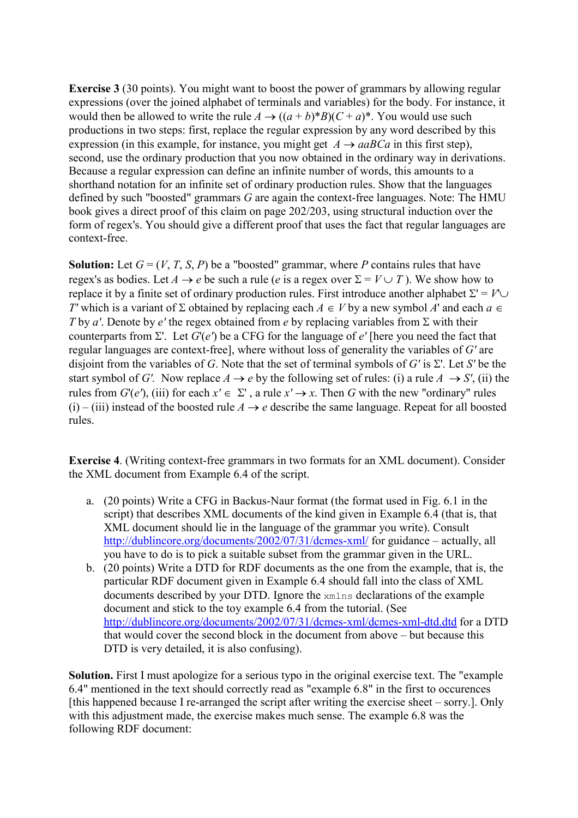**Exercise 3** (30 points). You might want to boost the power of grammars by allowing regular expressions (over the joined alphabet of terminals and variables) for the body. For instance, it would then be allowed to write the rule  $A \rightarrow ((a + b)^*B)(C + a)^*$ . You would use such productions in two steps: first, replace the regular expression by any word described by this expression (in this example, for instance, you might get  $A \rightarrow aaBCa$  in this first step). second, use the ordinary production that you now obtained in the ordinary way in derivations. Because a regular expression can define an infinite number of words, this amounts to a shorthand notation for an infinite set of ordinary production rules. Show that the languages defined by such "boosted" grammars *G* are again the context-free languages. Note: The HMU book gives a direct proof of this claim on page 202/203, using structural induction over the form of regex's. You should give a different proof that uses the fact that regular languages are context-free.

**Solution:** Let  $G = (V, T, S, P)$  be a "boosted" grammar, where P contains rules that have regex's as bodies. Let  $A \rightarrow e$  be such a rule (*e* is a regex over  $\Sigma = V \cup T$ ). We show how to replace it by a finite set of ordinary production rules. First introduce another alphabet  $\Sigma' = V' \cup$ *T'* which is a variant of  $\Sigma$  obtained by replacing each  $A \in V$  by a new symbol  $A'$  and each  $a \in V$ *T* by *a'*. Denote by *e'* the regex obtained from *e* by replacing variables from  $\Sigma$  with their counterparts from  $\Sigma'$ . Let  $G'(e')$  be a CFG for the language of  $e'$  [here you need the fact that regular languages are context-free], where without loss of generality the variables of *G'* are disjoint from the variables of *G*. Note that the set of terminal symbols of *G'* is  $\Sigma'$ . Let *S'* be the start symbol of *G'*. Now replace  $A \rightarrow e$  by the following set of rules: (i) a rule  $A \rightarrow S'$ , (ii) the rules from  $G'(e')$ , (iii) for each  $x' \in \Sigma'$ , a rule  $x' \to x$ . Then *G* with the new "ordinary" rules (i) – (iii) instead of the boosted rule  $A \rightarrow e$  describe the same language. Repeat for all boosted rules.

**Exercise 4**. (Writing context-free grammars in two formats for an XML document). Consider the XML document from Example 6.4 of the script.

- a. (20 points) Write a CFG in Backus-Naur format (the format used in Fig. 6.1 in the script) that describes XML documents of the kind given in Example 6.4 (that is, that XML document should lie in the language of the grammar you write). Consult <http://dublincore.org/documents/2002/07/31/dcmes-xml/> for guidance – actually, all you have to do is to pick a suitable subset from the grammar given in the URL.
- b. (20 points) Write a DTD for RDF documents as the one from the example, that is, the particular RDF document given in Example 6.4 should fall into the class of XML documents described by your DTD. Ignore the xmlns declarations of the example document and stick to the toy example 6.4 from the tutorial. (See <http://dublincore.org/documents/2002/07/31/dcmes-xml/dcmes-xml-dtd.dtd> for a DTD that would cover the second block in the document from above – but because this DTD is very detailed, it is also confusing).

**Solution.** First I must apologize for a serious typo in the original exercise text. The "example 6.4" mentioned in the text should correctly read as "example 6.8" in the first to occurences [this happened because I re-arranged the script after writing the exercise sheet – sorry.]. Only with this adjustment made, the exercise makes much sense. The example 6.8 was the following RDF document: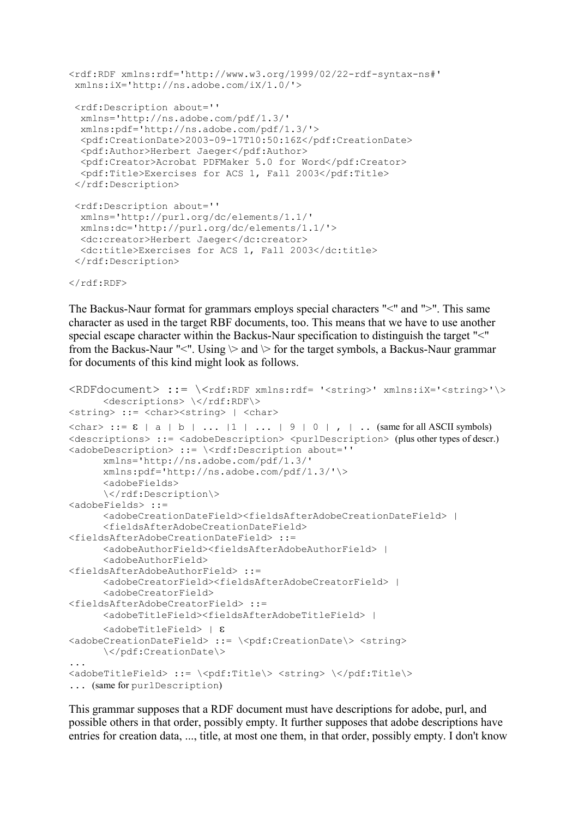```
<rdf:RDF xmlns:rdf='http://www.w3.org/1999/02/22-rdf-syntax-ns#' 
 xmlns:iX='http://ns.adobe.com/iX/1.0/'> 
 <rdf:Description about='' 
  xmlns='http://ns.adobe.com/pdf/1.3/' 
  xmlns:pdf='http://ns.adobe.com/pdf/1.3/'> 
   <pdf:CreationDate>2003-09-17T10:50:16Z</pdf:CreationDate> 
   <pdf:Author>Herbert Jaeger</pdf:Author> 
   <pdf:Creator>Acrobat PDFMaker 5.0 for Word</pdf:Creator> 
   <pdf:Title>Exercises for ACS 1, Fall 2003</pdf:Title> 
 </rdf:Description>
  <rdf:Description about='' 
  xmlns='http://purl.org/dc/elements/1.1/' 
  xmlns:dc='http://purl.org/dc/elements/1.1/'> 
  <dc:creator>Herbert Jaeger</dc:creator> 
  <dc:title>Exercises for ACS 1, Fall 2003</dc:title> 
  </rdf:Description>
```
 $\langle$ /rdf:RDF>

The Backus-Naur format for grammars employs special characters "<" and ">". This same character as used in the target RBF documents, too. This means that we have to use another special escape character within the Backus-Naur specification to distinguish the target "<" from the Backus-Naur "<". Using  $\triangleright$  and  $\triangleright$  for the target symbols, a Backus-Naur grammar for documents of this kind might look as follows.

```
RDF document> ::= \langle rdf:RDF \times rnlns: rdf= '<string>' \times string>' \rangle<descriptions> \</rdf:RDF\>
<string> ::= <char><string> | <char> 
\langle char \rangle ::= \epsilon | a | b | ... | 1 | ... | 9 | 0 | , | .. (same for all ASCII symbols)
<descriptions> ::= <adobeDescription> <purlDescription> (plus other types of descr.)
<adobeDescription> ::= \<rdf:Description about='' 
      xmlns='http://ns.adobe.com/pdf/1.3/' 
       xmlns:pdf='http://ns.adobe.com/pdf/1.3/'\> 
      <adobeFields> 
      \</rdf:Description\>
<adobeFields> ::= 
      <adobeCreationDateField><fieldsAfterAdobeCreationDateField> | 
      <fieldsAfterAdobeCreationDateField> 
<fieldsAfterAdobeCreationDateField> ::= 
      <adobeAuthorField><fieldsAfterAdobeAuthorField> | 
      <adobeAuthorField> 
<fieldsAfterAdobeAuthorField> ::= 
      <adobeCreatorField><fieldsAfterAdobeCreatorField> | 
      <adobeCreatorField> 
<fieldsAfterAdobeCreatorField> ::= 
      <adobeTitleField><fieldsAfterAdobeTitleField> | 
      \langleadobeTitleField> | \epsilon<adobeCreationDateField> ::= \<pdf:CreationDate\> <string> 
      \</pdf:CreationDate\> 
... 
<adobeTitleField> ::= \<pdf:Title\> <string> \</pdf:Title\> 
... (same for purlDescription)
```
This grammar supposes that a RDF document must have descriptions for adobe, purl, and possible others in that order, possibly empty. It further supposes that adobe descriptions have entries for creation data, ..., title, at most one them, in that order, possibly empty. I don't know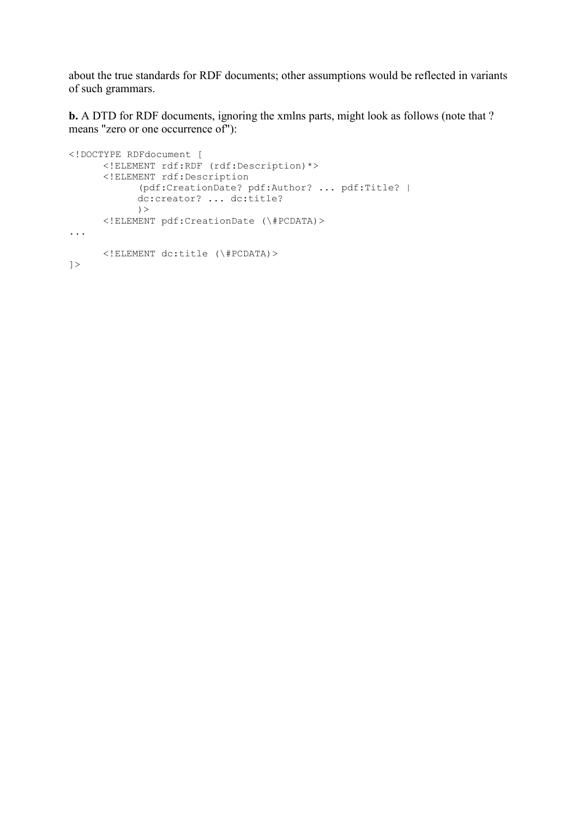about the true standards for RDF documents; other assumptions would be reflected in variants of such grammars.

**b.** A DTD for RDF documents, ignoring the xmlns parts, might look as follows (note that ? means "zero or one occurrence of"):

```
<!DOCTYPE RDFdocument [ 
      <!ELEMENT rdf:RDF (rdf:Description)*> 
       <!ELEMENT rdf:Description 
            (pdf:CreationDate? pdf:Author? ... pdf:Title? | 
            dc:creator? ... dc:title? 
            ) <!ELEMENT pdf:CreationDate (\#PCDATA)> 
... 
      <!ELEMENT dc:title (\#PCDATA)> 
\geq
```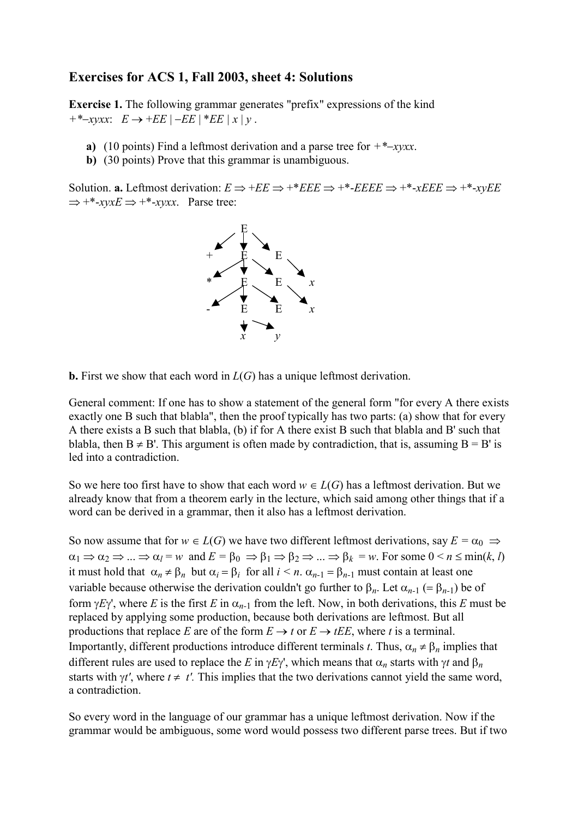#### **Exercises for ACS 1, Fall 2003, sheet 4: Solutions**

**Exercise 1.** The following grammar generates "prefix" expressions of the kind  $+$  \*  $-x\text{v}xx$ :  $E \rightarrow +EE$  |  $-EE$  | \* $EE$  |  $x$  |  $y$ .

- **a)** (10 points) Find a leftmost derivation and a parse tree for  $+$  \*- $x$ yxx.
- **b)** (30 points) Prove that this grammar is unambiguous.

Solution. **a.** Leftmost derivation:  $E \Rightarrow +E E \Rightarrow +E E E \Rightarrow +E E E E \Rightarrow +E E E E \Rightarrow +E E E E \Rightarrow +E E E E \Rightarrow +E E E E \Rightarrow +E E E E \Rightarrow +E E E E \Rightarrow +E E E E \Rightarrow +E E E E \Rightarrow +E E E E \Rightarrow +E E E E \Rightarrow +E E E E \Rightarrow +E E E E \Rightarrow +E E E E \Rightarrow +E E E E \Rightarrow +E E E E \Rightarrow +E E E E \Rightarrow +E E E E \Rightarrow +E E E E \Rightarrow +E E E E \Rightarrow +E E E E \Rightarrow +E E E E \Rightarrow +E E E E \Rightarrow +E E E E \Rightarrow +E$  $\Rightarrow$  +\*-*xyxE*  $\Rightarrow$  +\*-*xyxx*. Parse tree:



**b.** First we show that each word in *L*(*G*) has a unique leftmost derivation.

General comment: If one has to show a statement of the general form "for every A there exists exactly one B such that blabla", then the proof typically has two parts: (a) show that for every A there exists a B such that blabla, (b) if for A there exist B such that blabla and B' such that blabla, then  $B \neq B'$ . This argument is often made by contradiction, that is, assuming  $B = B'$  is led into a contradiction.

So we here too first have to show that each word  $w \in L(G)$  has a leftmost derivation. But we already know that from a theorem early in the lecture, which said among other things that if a word can be derived in a grammar, then it also has a leftmost derivation.

So now assume that for  $w \in L(G)$  we have two different leftmost derivations, say  $E = \alpha_0 \Rightarrow$  $\alpha_1 \Rightarrow \alpha_2 \Rightarrow \dots \Rightarrow \alpha_l = w$  and  $E = \beta_0 \Rightarrow \beta_1 \Rightarrow \beta_2 \Rightarrow \dots \Rightarrow \beta_k = w$ . For some  $0 \le n \le \min(k, l)$ it must hold that  $\alpha_n \neq \beta_n$  but  $\alpha_i = \beta_i$  for all  $i \leq n$ .  $\alpha_{n-1} = \beta_{n-1}$  must contain at least one variable because otherwise the derivation couldn't go further to  $\beta_n$ . Let  $\alpha_{n-1}$  (=  $\beta_{n-1}$ ) be of form  $\gamma E \gamma'$ , where *E* is the first *E* in  $\alpha_{n-1}$  from the left. Now, in both derivations, this *E* must be replaced by applying some production, because both derivations are leftmost. But all productions that replace *E* are of the form  $E \to t$  or  $E \to tEE$ , where *t* is a terminal. Importantly, different productions introduce different terminals *t*. Thus,  $\alpha_n \neq \beta_n$  implies that different rules are used to replace the *E* in  $\gamma E \gamma'$ , which means that  $\alpha_n$  starts with  $\gamma t$  and  $\beta_n$ starts with  $\gamma t'$ , where  $t \neq t'$ . This implies that the two derivations cannot yield the same word, a contradiction.

So every word in the language of our grammar has a unique leftmost derivation. Now if the grammar would be ambiguous, some word would possess two different parse trees. But if two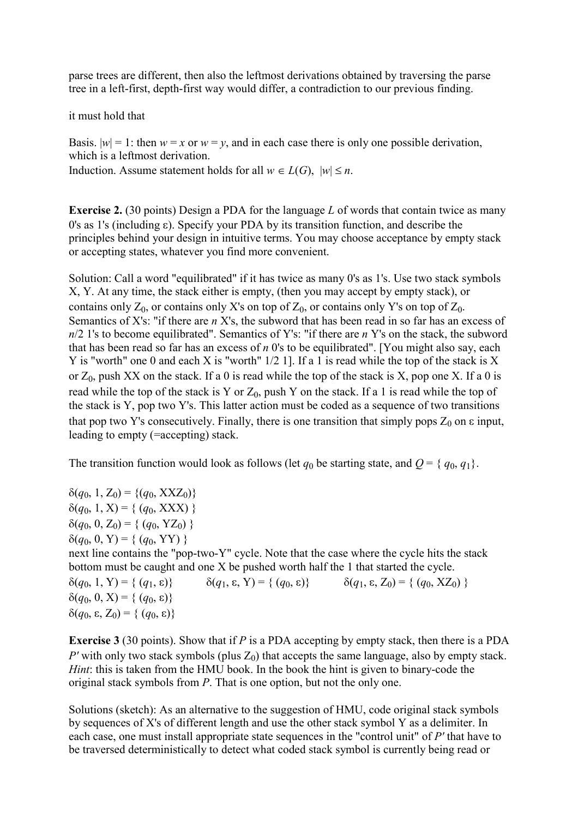parse trees are different, then also the leftmost derivations obtained by traversing the parse tree in a left-first, depth-first way would differ, a contradiction to our previous finding.

it must hold that

Basis.  $|w| = 1$ : then  $w = x$  or  $w = y$ , and in each case there is only one possible derivation, which is a leftmost derivation.

Induction. Assume statement holds for all  $w \in L(G)$ ,  $|w| \leq n$ .

**Exercise 2.** (30 points) Design a PDA for the language *L* of words that contain twice as many 0's as 1's (including  $\varepsilon$ ). Specify your PDA by its transition function, and describe the principles behind your design in intuitive terms. You may choose acceptance by empty stack or accepting states, whatever you find more convenient.

Solution: Call a word "equilibrated" if it has twice as many 0's as 1's. Use two stack symbols X, Y. At any time, the stack either is empty, (then you may accept by empty stack), or contains only  $Z_0$ , or contains only X's on top of  $Z_0$ , or contains only Y's on top of  $Z_0$ . Semantics of X's: "if there are *n* X's, the subword that has been read in so far has an excess of *n*/2 1's to become equilibrated". Semantics of Y's: "if there are *n* Y's on the stack, the subword that has been read so far has an excess of *n* 0's to be equilibrated". [You might also say, each Y is "worth" one 0 and each X is "worth" 1/2 1]. If a 1 is read while the top of the stack is X or  $Z_0$ , push XX on the stack. If a 0 is read while the top of the stack is X, pop one X. If a 0 is read while the top of the stack is Y or  $Z_0$ , push Y on the stack. If a 1 is read while the top of the stack is Y, pop two Y's. This latter action must be coded as a sequence of two transitions that pop two Y's consecutively. Finally, there is one transition that simply pops  $Z_0$  on  $\varepsilon$  input, leading to empty (=accepting) stack.

The transition function would look as follows (let  $q_0$  be starting state, and  $Q = \{q_0, q_1\}$ .

 $\delta(q_0, 1, Z_0) = \{(q_0, XXZ_0)\}$  $\delta(q_0, 1, X) = \{ (q_0, XXX) \}$  $\delta(q_0, 0, Z_0) = \{ (q_0, YZ_0) \}$  $\delta(q_0, 0, Y) = \{ (q_0, YY) \}$ next line contains the "pop-two-Y" cycle. Note that the case where the cycle hits the stack bottom must be caught and one X be pushed worth half the 1 that started the cycle.  $\delta(q_0, 1, Y) = \{ (q_1, \varepsilon) \}$   $\delta(q_1, \varepsilon, Y) = \{ (q_0, \varepsilon) \}$   $\delta(q_1, \varepsilon, Z_0) = \{ (q_0, XZ_0) \}$  $\delta(q_0, 0, X) = \{ (q_0, \varepsilon) \}$  $\delta(q_0, \varepsilon, Z_0) = \{ (q_0, \varepsilon) \}$ 

**Exercise 3** (30 points). Show that if *P* is a PDA accepting by empty stack, then there is a PDA *P'* with only two stack symbols (plus  $Z_0$ ) that accepts the same language, also by empty stack. *Hint*: this is taken from the HMU book. In the book the hint is given to binary-code the original stack symbols from *P*. That is one option, but not the only one.

Solutions (sketch): As an alternative to the suggestion of HMU, code original stack symbols by sequences of X's of different length and use the other stack symbol Y as a delimiter. In each case, one must install appropriate state sequences in the "control unit" of *P'* that have to be traversed deterministically to detect what coded stack symbol is currently being read or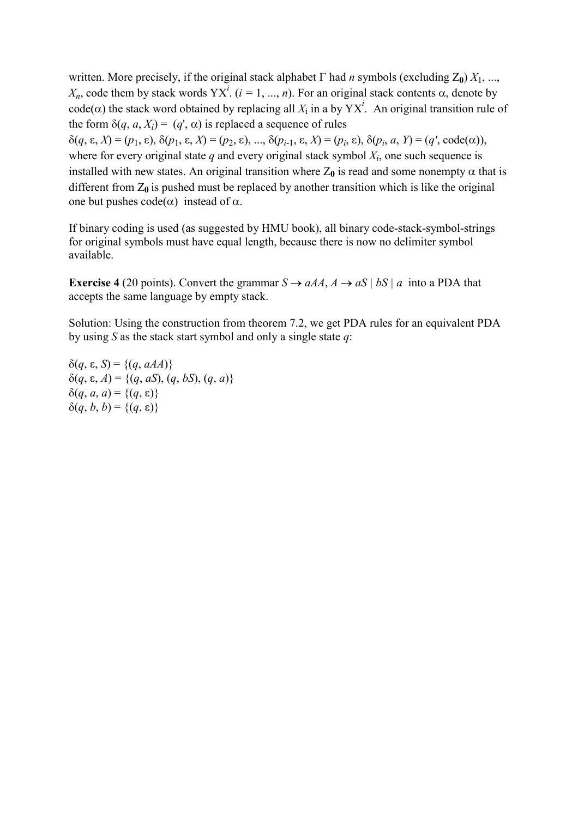written. More precisely, if the original stack alphabet  $\Gamma$  had *n* symbols (excluding  $Z_0$ )  $X_1, ...,$  $X_n$ , code them by stack words  $YX^i$ . ( $i = 1, ..., n$ ). For an original stack contents  $\alpha$ , denote by code( $\alpha$ ) the stack word obtained by replacing all  $X_i$  in a by YX<sup>*i*</sup>. An original transition rule of the form  $\delta(q, a, X_i) = (q', \alpha)$  is replaced a sequence of rules  $\delta(q, \varepsilon, X) = (p_1, \varepsilon), \, \delta(p_1, \varepsilon, X) = (p_2, \varepsilon), \, \dots, \, \delta(p_{i-1}, \varepsilon, X) = (p_i, \varepsilon), \, \delta(p_i, a, Y) = (q', \text{code}(\alpha)),$ 

where for every original state  $q$  and every original stack symbol  $X_i$ , one such sequence is installed with new states. An original transition where  $Z_0$  is read and some nonempty  $\alpha$  that is different from  $Z_0$  is pushed must be replaced by another transition which is like the original one but pushes  $code(\alpha)$  instead of  $\alpha$ .

If binary coding is used (as suggested by HMU book), all binary code-stack-symbol-strings for original symbols must have equal length, because there is now no delimiter symbol available.

**Exercise 4** (20 points). Convert the grammar  $S \rightarrow aAA$ ,  $A \rightarrow aS \mid bS \mid a$  into a PDA that accepts the same language by empty stack.

Solution: Using the construction from theorem 7.2, we get PDA rules for an equivalent PDA by using *S* as the stack start symbol and only a single state *q*:

 $\delta(q, \varepsilon, S) = \{(q, aAA)\}\$  $\delta(q, \varepsilon, A) = \{(q, aS), (q, bS), (q, a)\}\$  $\delta(q, a, a) = \{(q, \varepsilon)\}\;$  $\delta(q, b, b) = \{(q, \varepsilon)\}\$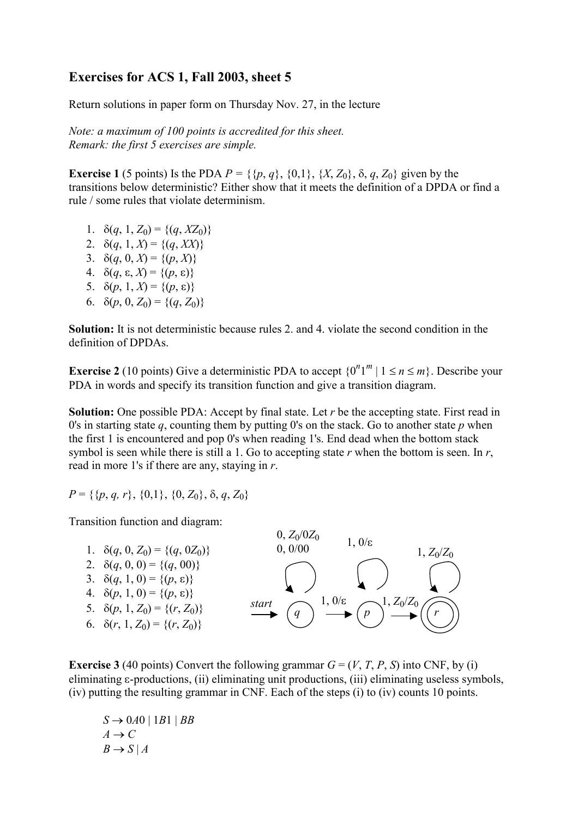### **Exercises for ACS 1, Fall 2003, sheet 5**

Return solutions in paper form on Thursday Nov. 27, in the lecture

*Note: a maximum of 100 points is accredited for this sheet. Remark: the first 5 exercises are simple.* 

**Exercise 1** (5 points) Is the PDA  $P = \{ \{p, q\}, \{0, 1\}, \{X, Z_0\}, \delta, q, Z_0 \}$  given by the transitions below deterministic? Either show that it meets the definition of a DPDA or find a rule / some rules that violate determinism.

- 1.  $\delta(q, 1, Z_0) = \{(q, XZ_0)\}\$
- 2.  $\delta(q, 1, X) = \{(q, XX)\}\$
- 3.  $\delta(q, 0, X) = \{(p, X)\}\$
- 4.  $\delta(q, \varepsilon, X) = \{(p, \varepsilon)\}\$
- 5.  $\delta(p, 1, X) = \{(p, \varepsilon)\}\$
- 6.  $\delta(p, 0, Z_0) = \{(q, Z_0)\}\$

**Solution:** It is not deterministic because rules 2. and 4. violate the second condition in the definition of DPDAs.

**Exercise 2** (10 points) Give a deterministic PDA to accept  $\{0^n 1^m | 1 \le n \le m\}$ . Describe your PDA in words and specify its transition function and give a transition diagram.

**Solution:** One possible PDA: Accept by final state. Let *r* be the accepting state. First read in 0's in starting state *q*, counting them by putting 0's on the stack. Go to another state *p* when the first 1 is encountered and pop 0's when reading 1's. End dead when the bottom stack symbol is seen while there is still a 1. Go to accepting state *r* when the bottom is seen. In *r*, read in more 1's if there are any, staying in *r*.

$$
P = \{\{p, q, r\}, \{0, 1\}, \{0, Z_0\}, \delta, q, Z_0\}
$$

Transition function and diagram:



**Exercise 3** (40 points) Convert the following grammar  $G = (V, T, P, S)$  into CNF, by (i) eliminating  $\varepsilon$ -productions, (ii) eliminating unit productions, (iii) eliminating useless symbols, (iv) putting the resulting grammar in CNF. Each of the steps (i) to (iv) counts 10 points.

 $S \rightarrow 0A0 \mid 1B1 \mid BB$  $A \rightarrow C$  $B \rightarrow S | A$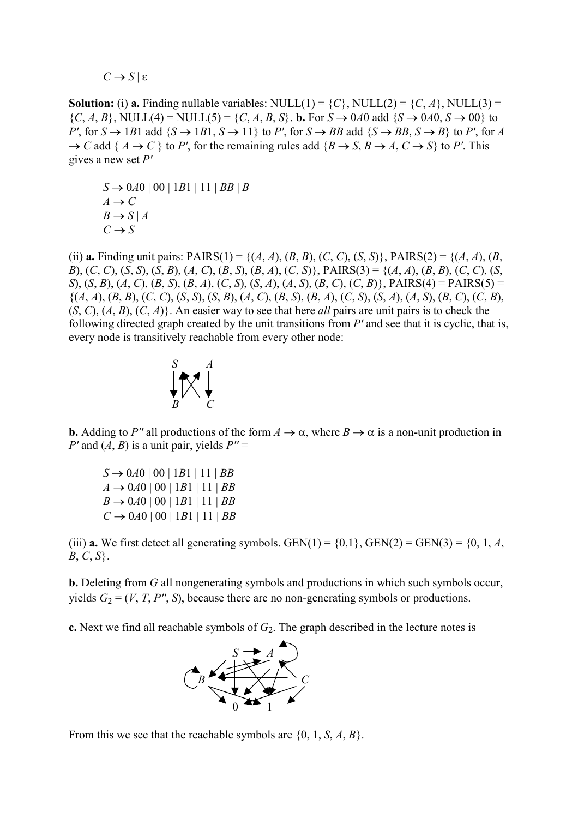$C \rightarrow S \mid \varepsilon$ 

**Solution:** (i) **a.** Finding nullable variables: NULL(1) =  $\{C\}$ , NULL(2) =  $\{C, A\}$ , NULL(3) =  ${C, A, B}$ , NULL(4) = NULL(5) =  ${C, A, B, S}$ . **b.** For  $S \rightarrow 0A0$  add  ${S \rightarrow 0A0, S \rightarrow 00}$  to *P'*, for  $S \rightarrow 1B1$  add  $\{S \rightarrow 1B1, S \rightarrow 11\}$  to *P'*, for  $S \rightarrow BB$  add  $\{S \rightarrow BB, S \rightarrow B\}$  to *P'*, for *A*  $\rightarrow$  *C* add { *A*  $\rightarrow$  *C* } to *P'*, for the remaining rules add {*B*  $\rightarrow$  *S*, *B*  $\rightarrow$  *A*, *C*  $\rightarrow$  *S*} to *P'*. This gives a new set *P'*

 $S \rightarrow 0A0 | 00 | 1B1 | 11 | BB | B$  $A \rightarrow C$  $B \rightarrow S | A$  $C \rightarrow S$ 

(ii) **a.** Finding unit pairs: PAIRS(1) = {(*A*, *A*), (*B*, *B*), (*C*, *C*), (*S*, *S*)}, PAIRS(2) = {(*A*, *A*), (*B*, B), (C, C), (S, S), (S, B), (A, C), (B, S), (B, A), (C, S), PAIRS(3) = {(A, A), (B, B), (C, C), (S, S), (S, B), (A, C), (B, S), (B, A), (C, S), (S, A), (A, S), (B, C), (C, B), PAIRS(4) = PAIRS(5) =  $\{(A, A), (B, B), (C, C), (S, S), (S, B), (A, C), (B, S), (B, A), (C, S), (S, A), (A, S), (B, C), (C, B),$ (*S*, *C*), (*A*, *B*), (*C*, *A*)}. An easier way to see that here *all* pairs are unit pairs is to check the following directed graph created by the unit transitions from *P'* and see that it is cyclic, that is, every node is transitively reachable from every other node:



**b.** Adding to P'' all productions of the form  $A \to \alpha$ , where  $B \to \alpha$  is a non-unit production in *P'* and  $(A, B)$  is a unit pair, yields  $P'' =$ 

 $S \rightarrow 0A0 | 00 | 1B1 | 11 | BB$  $A \rightarrow 0A0 | 00 | 1B1 | 11 | BB$  $B \rightarrow 0A0 | 00 | 1B1 | 11 | BB$  $C \rightarrow 0.40$  |  $00$  |  $1B1$  |  $11$  |  $BB$ 

(iii) **a.** We first detect all generating symbols. GEN(1) =  $\{0,1\}$ , GEN(2) = GEN(3) =  $\{0, 1, A$ , *B*, *C*, *S*}.

**b.** Deleting from *G* all nongenerating symbols and productions in which such symbols occur, yields  $G_2 = (V, T, P'', S)$ , because there are no non-generating symbols or productions.

**c.** Next we find all reachable symbols of  $G_2$ . The graph described in the lecture notes is



From this we see that the reachable symbols are {0, 1, *S*, *A*, *B*}.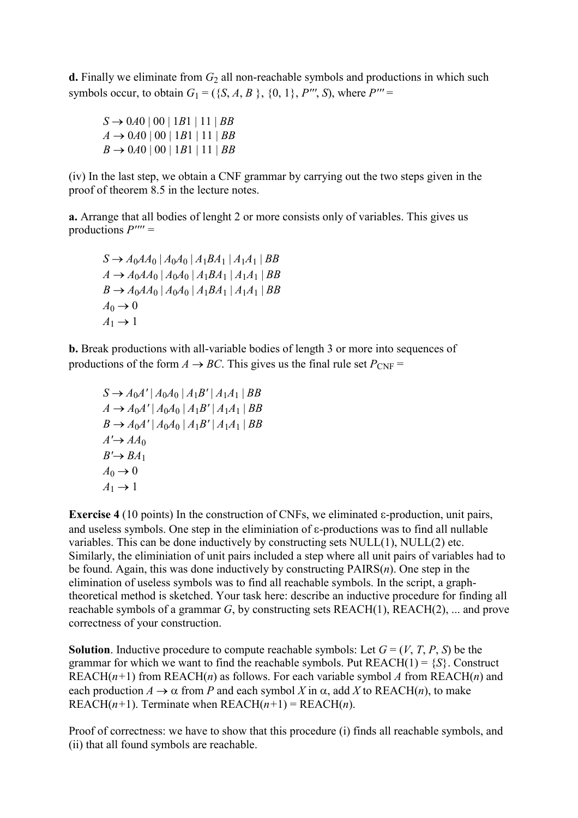**d.** Finally we eliminate from  $G_2$  all non-reachable symbols and productions in which such symbols occur, to obtain  $G_1 = (\{S, A, B\}, \{0, 1\}, P''', S)$ , where  $P''' =$ 

 $S \rightarrow 0A0 | 00 | 1B1 | 11 | BB$  $A \rightarrow 0A0 | 00 | 1B1 | 11 | BB$  $B \rightarrow 0A0 | 00 | 1B1 | 11 | BB$ 

(iv) In the last step, we obtain a CNF grammar by carrying out the two steps given in the proof of theorem 8.5 in the lecture notes.

**a.** Arrange that all bodies of lenght 2 or more consists only of variables. This gives us productions *P'''' =* 

$$
S \to A_0AA_0 | A_0A_0 | A_1BA_1 | A_1A_1 | BB
$$
  
\n
$$
A \to A_0AA_0 | A_0A_0 | A_1BA_1 | A_1A_1 | BB
$$
  
\n
$$
B \to A_0AA_0 | A_0A_0 | A_1BA_1 | A_1A_1 | BB
$$
  
\n
$$
A_0 \to 0
$$
  
\n
$$
A_1 \to 1
$$

**b.** Break productions with all-variable bodies of length 3 or more into sequences of productions of the form  $A \rightarrow BC$ . This gives us the final rule set  $P_{CNF}$  =

$$
S \to A_0 A' | A_0 A_0 | A_1 B' | A_1 A_1 | BB \n A \to A_0 A' | A_0 A_0 | A_1 B' | A_1 A_1 | BB \n B \to A_0 A' | A_0 A_0 | A_1 B' | A_1 A_1 | BB \n A' \to A A_0 \n B' \to BA_1 \n A_0 \to 0 \n A_1 \to 1
$$

**Exercise 4** (10 points) In the construction of CNFs, we eliminated  $\epsilon$ -production, unit pairs, and useless symbols. One step in the eliminiation of  $\varepsilon$ -productions was to find all nullable variables. This can be done inductively by constructing sets NULL(1), NULL(2) etc. Similarly, the eliminiation of unit pairs included a step where all unit pairs of variables had to be found. Again, this was done inductively by constructing PAIRS(*n*). One step in the elimination of useless symbols was to find all reachable symbols. In the script, a graphtheoretical method is sketched. Your task here: describe an inductive procedure for finding all reachable symbols of a grammar *G*, by constructing sets REACH(1), REACH(2), ... and prove correctness of your construction.

**Solution**. Inductive procedure to compute reachable symbols: Let  $G = (V, T, P, S)$  be the grammar for which we want to find the reachable symbols. Put  $REACH(1) = {S}$ . Construct REACH $(n+1)$  from REACH $(n)$  as follows. For each variable symbol A from REACH $(n)$  and each production  $A \to \alpha$  from *P* and each symbol *X* in  $\alpha$ , add *X* to REACH(*n*), to make REACH $(n+1)$ . Terminate when REACH $(n+1)$  = REACH $(n)$ .

Proof of correctness: we have to show that this procedure (i) finds all reachable symbols, and (ii) that all found symbols are reachable.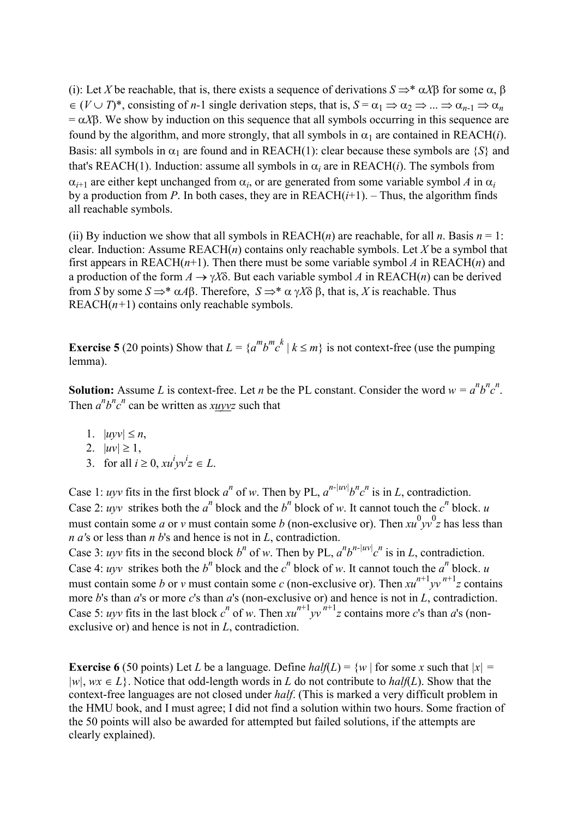(i): Let *X* be reachable, that is, there exists a sequence of derivations  $S \Rightarrow^* \alpha X\beta$  for some  $\alpha$ ,  $\beta$  $\in (V \cup T)^*$ , consisting of *n*-1 single derivation steps, that is,  $S = \alpha_1 \Rightarrow \alpha_2 \Rightarrow ... \Rightarrow \alpha_{n-1} \Rightarrow \alpha_n$  $= \alpha X\beta$ . We show by induction on this sequence that all symbols occurring in this sequence are found by the algorithm, and more strongly, that all symbols in  $\alpha_1$  are contained in REACH(*i*). Basis: all symbols in  $\alpha_1$  are found and in REACH(1): clear because these symbols are  $\{S\}$  and that's REACH(1). Induction: assume all symbols in  $\alpha_i$  are in REACH(*i*). The symbols from  $\alpha_{i+1}$  are either kept unchanged from  $\alpha_i$ , or are generated from some variable symbol *A* in  $\alpha_i$ by a production from *P*. In both cases, they are in  $REACH(i+1)$ . – Thus, the algorithm finds all reachable symbols.

(ii) By induction we show that all symbols in  $REACH(n)$  are reachable, for all *n*. Basis  $n = 1$ : clear. Induction: Assume REACH(*n*) contains only reachable symbols. Let *X* be a symbol that first appears in REACH( $n+1$ ). Then there must be some variable symbol A in REACH( $n$ ) and a production of the form  $A \to \gamma X \delta$ . But each variable symbol A in REACH(*n*) can be derived from *S* by some  $S \Rightarrow^* \alpha A\beta$ . Therefore,  $S \Rightarrow^* \alpha \gamma X\delta \beta$ , that is, *X* is reachable. Thus REAC $H(n+1)$  contains only reachable symbols.

**Exercise 5** (20 points) Show that  $L = \{a^m b^m c^k | k \le m\}$  is not context-free (use the pumping lemma).

**Solution:** Assume *L* is context-free. Let *n* be the PL constant. Consider the word  $w = a^n b^n c^n$ . Then  $a^n b^n c^n$  can be written as  $x \underline{u} y \underline{v} z$  such that

- 1.  $|uyv| \leq n$ ,
- 2.  $|uv| \ge 1$ ,
- 3. for all  $i \ge 0$ ,  $xu^i yv^i z \in L$ .

Case 1: *uyv* fits in the first block *a*<sup>*n*</sup> of *w*. Then by PL,  $a^{n-|uv|}b^n c^n$  is in *L*, contradiction. Case 2: *uyv* strikes both the *a*<sup>*n*</sup> block and the *b*<sup>*n*</sup> block of *w*. It cannot touch the *c*<sup>*n*</sup> block. *u* must contain some *a* or *v* must contain some *b* (non-exclusive or). Then  $xu^0 yv^0 z$  has less than *n a'*s or less than *n b*'s and hence is not in *L*, contradiction.

Case 3: *uyv* fits in the second block *b*<sup>*n*</sup> of *w*. Then by PL,  $a^n b^{n-|uv|} c^n$  is in *L*, contradiction. Case 4: *uyv* strikes both the *b*<sup>*n*</sup> block and the *c*<sup>*n*</sup> block of *w*. It cannot touch the *a*<sup>*n*</sup> block. *u* must contain some *b* or *v* must contain some *c* (non-exclusive or). Then  $xu^{n+1}yv^{n+1}z$  contains more *b*'s than *a*'s or more *c*'s than *a*'s (non-exclusive or) and hence is not in *L*, contradiction. Case 5: *uyv* fits in the last block  $c^n$  of *w*. Then  $xu^{n+1}yv^{n+1}z$  contains more *c*'s than *a*'s (nonexclusive or) and hence is not in *L*, contradiction.

**Exercise 6** (50 points) Let *L* be a language. Define  $half(L) = \{w \mid \text{for some } x \text{ such that } |x| = \}$  $|w|$ ,  $wx \in L$ . Notice that odd-length words in *L* do not contribute to *half*(*L*). Show that the context-free languages are not closed under *half*. (This is marked a very difficult problem in the HMU book, and I must agree; I did not find a solution within two hours. Some fraction of the 50 points will also be awarded for attempted but failed solutions, if the attempts are clearly explained).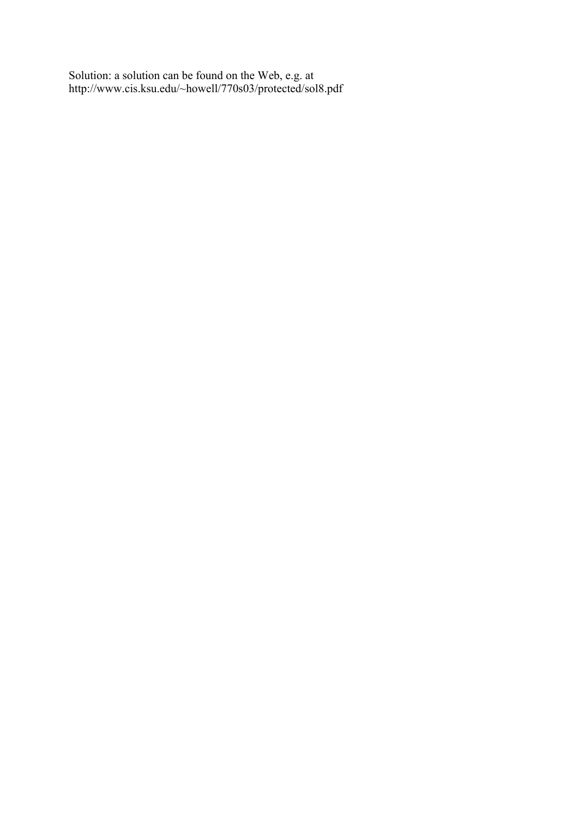Solution: a solution can be found on the Web, e.g. at http://www.cis.ksu.edu/~howell/770s03/protected/sol8.pdf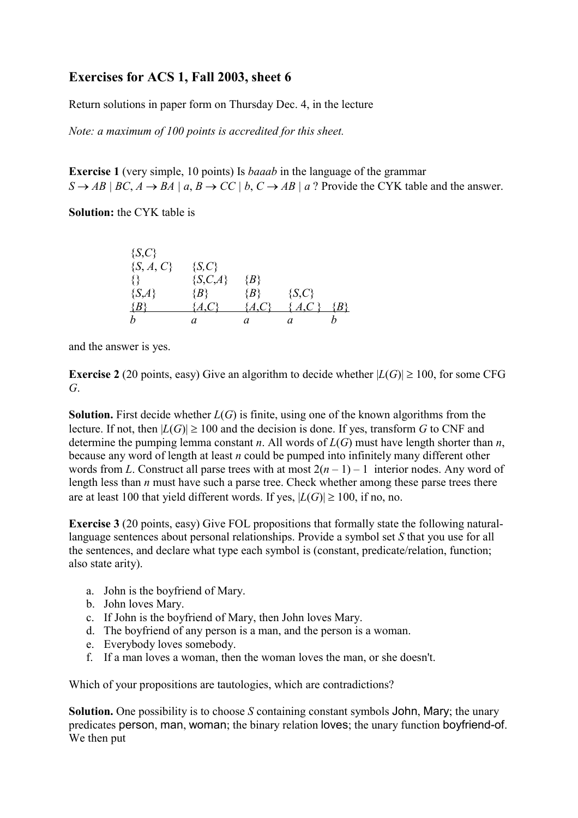## **Exercises for ACS 1, Fall 2003, sheet 6**

Return solutions in paper form on Thursday Dec. 4, in the lecture

*Note: a maximum of 100 points is accredited for this sheet.* 

**Exercise 1** (very simple, 10 points) Is *baaab* in the language of the grammar  $S \rightarrow AB \mid BC, A \rightarrow BA \mid a, B \rightarrow CC \mid b, C \rightarrow AB \mid a$ ? Provide the CYK table and the answer.

**Solution:** the CYK table is

| $\{S, C\}$    |                 |         |            |    |
|---------------|-----------------|---------|------------|----|
| $\{S, A, C\}$ | $\{S, C\}$      |         |            |    |
|               | ${S, C, A}$     | $\{B\}$ |            |    |
| $\{S,A\}$     | $\{B\}$         | $\{B\}$ | $\{S, C\}$ |    |
| B             | $\mathcal{A}$ . | A, C    | A, C       | Βł |
|               | а               |         |            |    |

and the answer is yes.

**Exercise 2** (20 points, easy) Give an algorithm to decide whether  $|L(G)| \ge 100$ , for some CFG *G*.

**Solution.** First decide whether *L*(*G*) is finite, using one of the known algorithms from the lecture. If not, then  $|L(G)| \ge 100$  and the decision is done. If yes, transform *G* to CNF and determine the pumping lemma constant *n*. All words of *L*(*G*) must have length shorter than *n*, because any word of length at least *n* could be pumped into infinitely many different other words from *L*. Construct all parse trees with at most  $2(n-1) - 1$  interior nodes. Any word of length less than *n* must have such a parse tree. Check whether among these parse trees there are at least 100 that yield different words. If yes,  $|L(G)| \ge 100$ , if no, no.

**Exercise 3** (20 points, easy) Give FOL propositions that formally state the following naturallanguage sentences about personal relationships. Provide a symbol set *S* that you use for all the sentences, and declare what type each symbol is (constant, predicate/relation, function; also state arity).

- a. John is the boyfriend of Mary.
- b. John loves Mary.
- c. If John is the boyfriend of Mary, then John loves Mary.
- d. The boyfriend of any person is a man, and the person is a woman.
- e. Everybody loves somebody.
- f. If a man loves a woman, then the woman loves the man, or she doesn't.

Which of your propositions are tautologies, which are contradictions?

**Solution.** One possibility is to choose *S* containing constant symbols John, Mary; the unary predicates person, man, woman; the binary relation loves; the unary function boyfriend-of. We then put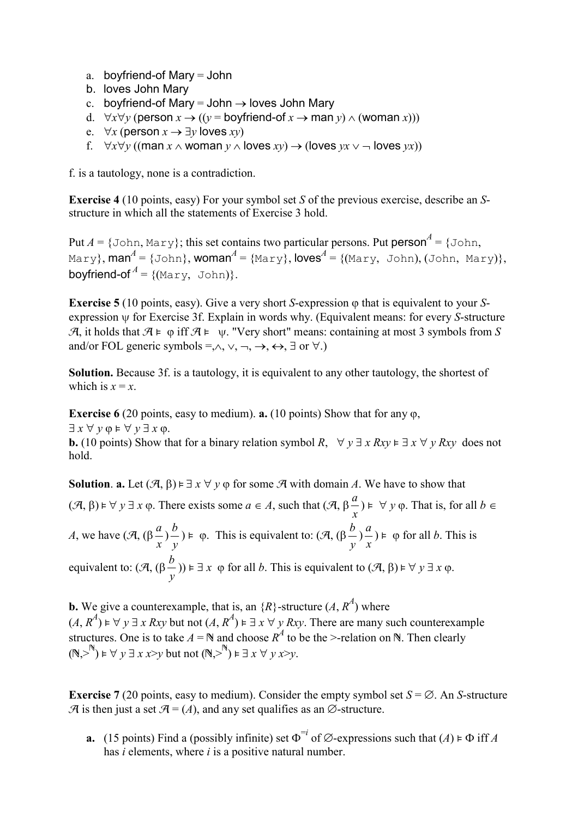- a. boyfriend-of Mary = John
- b. loves John Mary
- c. boyfriend-of Mary = John  $\rightarrow$  loves John Mary
- d.  $\forall x \forall y$  (person  $x \rightarrow ((y =$  boyfriend-of  $x \rightarrow$  man  $y) \land$  (woman  $x$ )))
- e.  $\forall x$  (person  $x \rightarrow \exists y$  loves  $xy$ )
- f.  $\forall x \forall y$  ((man  $x \wedge w$ oman  $y \wedge w$  loves  $xy$ )  $\rightarrow$  (loves  $yx \vee \neg$  loves  $yx$ ))

f. is a tautology, none is a contradiction.

**Exercise 4** (10 points, easy) For your symbol set *S* of the previous exercise, describe an *S*structure in which all the statements of Exercise 3 hold.

Put  $A = \{\text{John}, \text{Mary}\}$ ; this set contains two particular persons. Put person<sup> $A = \{\text{John},$ </sup>  $\texttt{Mary}$ ,  $\textsf{man}^A = \{\texttt{John}\}$ ,  $\textsf{woman}^A = \{\texttt{Mary}\}$ ,  $\textsf{loves}^A = \{(\texttt{Mary},\ \texttt{John}),(\texttt{John},\ \texttt{Mary})\}$ , **boyfriend-of**  $^A$  = {(Mary, John)}.

**Exercise 5** (10 points, easy). Give a very short *S*-expression  $\varphi$  that is equivalent to your *S*expression  $\psi$  for Exercise 3f. Explain in words why. (Equivalent means: for every *S*-structure  $\mathcal{A}$ , it holds that  $\mathcal{A} \models \varphi$  iff  $\mathcal{A} \models \psi$ . "Very short" means: containing at most 3 symbols from S and/or FOL generic symbols =, $\land$ ,  $\lor$ ,  $\neg$ ,  $\rightarrow$ ,  $\leftrightarrow$ ,  $\exists$  or  $\forall$ .)

**Solution.** Because 3f. is a tautology, it is equivalent to any other tautology, the shortest of which is  $x = x$ .

**Exercise 6** (20 points, easy to medium). **a.** (10 points) Show that for any  $\varphi$ ,  $\exists x \forall y \varphi \models \forall y \exists x \varphi$ .

**b.** (10 points) Show that for a binary relation symbol *R*,  $\forall y \exists x Rxy \in \exists x \forall y Rxy$  does not hold.

**Solution. a.** Let  $(\mathcal{A}, \beta) \models \exists x \forall y \varphi$  for some  $\mathcal{A}$  with domain *A*. We have to show that  $(\mathcal{A}, \beta) \models \forall y \exists x \varphi$ . There exists some  $a \in A$ , such that  $(\mathcal{A}, \beta)$ *x*  $\frac{a}{x}$ )  $\models \forall y \varphi$ . That is, for all  $b \in \mathbb{R}$ *A*, we have  $(\mathcal{A}, (\beta))$ *x a* ) *y*  $\phi$   $\mapsto$   $\phi$ . This is equivalent to: (A, ( $\beta$ ) *y*  $\frac{b}{-}$ *x*  $\frac{a}{b}$   $\neq$   $\varphi$  for all *b*. This is equivalent to:  $(A, (\beta$ *y*  $(\frac{b}{c})$   $\Rightarrow$   $\exists x \varphi$  for all *b*. This is equivalent to  $(\mathcal{A}, \beta) \models \forall y \exists x \varphi$ .

**b.** We give a counterexample, that is, an  $\{R\}$ -structure  $(A, R^A)$  where  $(A, R<sup>4</sup>) \models \forall y \exists x Rxy$  but not  $(A, R<sup>4</sup>) \models \exists x \forall y Rxy$ . There are many such counterexample structures. One is to take  $A = \mathbb{N}$  and choose  $R^A$  to be the >-relation on  $\mathbb{N}$ . Then clearly  $(N, >^N) \vDash \forall y \exists x \ x > y$  but not  $(N, >^N) \vDash \exists x \forall y \ x > y$ .

**Exercise** 7 (20 points, easy to medium). Consider the empty symbol set  $S = \emptyset$ . An *S*-structure  $\mathcal A$  is then just a set  $\mathcal A = (A)$ , and any set qualifies as an  $\emptyset$ -structure.

**a.** (15 points) Find a (possibly infinite) set  $\Phi^{-i}$  of  $\emptyset$ -expressions such that  $(A) \models \Phi$  iff *A* has *i* elements, where *i* is a positive natural number.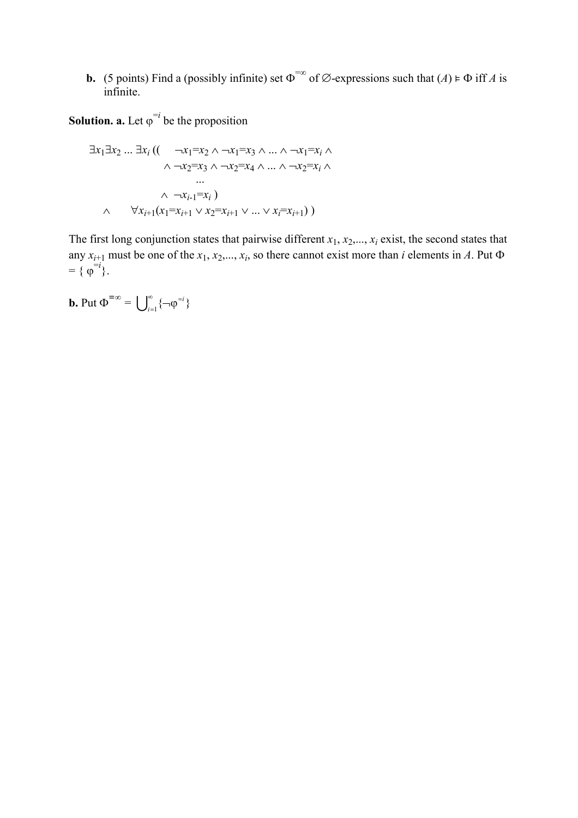**b.** (5 points) Find a (possibly infinite) set  $\Phi^{\infty}$  of  $\emptyset$ -expressions such that  $(A) \models \Phi$  iff *A* is infinite.

**Solution. a.** Let  $\varphi^{-i}$  be the proposition

$$
\exists x_1 \exists x_2 \dots \exists x_i ((\neg x_1 = x_2 \land \neg x_1 = x_3 \land \dots \land \neg x_1 = x_i \land \neg x_2 = x_3 \land \neg x_2 = x_4 \land \dots \land \neg x_2 = x_i \land \neg x_1 = x_i)
$$
\n
$$
\land \neg x_{i-1} = x_i)
$$
\n
$$
\land \neg x_{i-1} = x_i
$$
\n
$$
\land \forall x_{i+1} (x_1 = x_{i+1} \lor x_2 = x_{i+1} \lor \dots \lor x_i = x_{i+1}))
$$

The first long conjunction states that pairwise different  $x_1, x_2, \ldots, x_i$  exist, the second states that any  $x_{i+1}$  must be one of the  $x_1, x_2, ..., x_i$ , so there cannot exist more than *i* elements in *A*. Put  $\Phi$  $= {\varphi}^{-i}.$ 

**b.** Put  $\Phi^{\equiv \infty} = \bigcup_{i=1}^{\infty}$  $\sum_{i=1}^{\infty} \left\{ \neg \varphi^{=i} \right\}$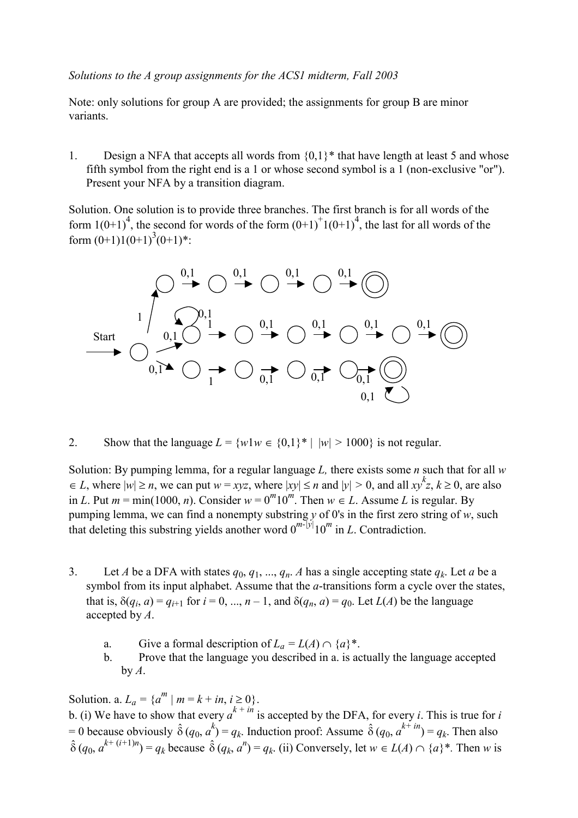#### *Solutions to the A group assignments for the ACS1 midterm, Fall 2003*

Note: only solutions for group A are provided; the assignments for group B are minor variants.

1. Design a NFA that accepts all words from  $\{0,1\}^*$  that have length at least 5 and whose fifth symbol from the right end is a 1 or whose second symbol is a 1 (non-exclusive "or"). Present your NFA by a transition diagram.

Solution. One solution is to provide three branches. The first branch is for all words of the form  $1(0+1)^4$ , the second for words of the form  $(0+1)^+1(0+1)^4$ , the last for all words of the form  $(0+1)1(0+1)^3(0+1)$ \*:



2. Show that the language  $L = \{w1w \in \{0,1\}^* \mid |w| > 1000\}$  is not regular.

Solution: By pumping lemma, for a regular language *L,* there exists some *n* such that for all *w*  $\leq L$ , where  $|w| \geq n$ , we can put  $w = xyz$ , where  $|xy| \leq n$  and  $|y| > 0$ , and all  $xy^kz$ ,  $k \geq 0$ , are also in *L*. Put  $m = \min(1000, n)$ . Consider  $w = 0^m 10^m$ . Then  $w \in L$ . Assume *L* is regular. By pumping lemma, we can find a nonempty substring *y* of 0's in the first zero string of *w*, such that deleting this substring yields another word  $0^{m-[y]}10^m$  in *L*. Contradiction.

- 3. Let *A* be a DFA with states  $q_0, q_1, ..., q_n$ . *A* has a single accepting state  $q_k$ . Let *a* be a symbol from its input alphabet. Assume that the *a*-transitions form a cycle over the states, that is,  $\delta(q_i, a) = q_{i+1}$  for  $i = 0, ..., n-1$ , and  $\delta(q_n, a) = q_0$ . Let  $L(A)$  be the language accepted by *A*.
	- a. Give a formal description of  $L_a = L(A) \cap \{a\}^*$ .
	- b. Prove that the language you described in a. is actually the language accepted  $by A$ .

Solution. a.  $L_a = \{a^m | m = k + in, i \ge 0\}$ . b. (i) We have to show that every  $a^{k + in}$  is accepted by the DFA, for every *i*. This is true for *i*  $= 0$  because obviously  $\hat{\delta}(q_0, a^k) = q_k$ . Induction proof: Assume  $\hat{\delta}(q_0, a^{k+im}) = q_k$ . Then also  $\hat{\delta}(q_0, a^{k+(i+1)n}) = q_k$  because  $\hat{\delta}(q_k, a^n) = q_k$ . (ii) Conversely, let  $w \in L(A) \cap \{a\}^*$ . Then *w* is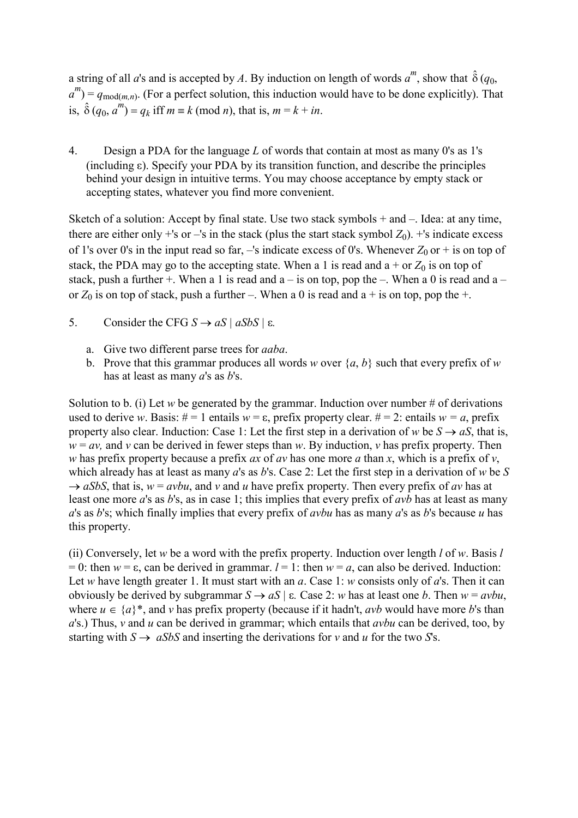a string of all *a*'s and is accepted by *A*. By induction on length of words  $a^m$ , show that  $\hat{\delta}(q_0,$  $a^m$ ) =  $q_{\text{mod}(m,n)}$ . (For a perfect solution, this induction would have to be done explicitly). That is,  $\hat{\delta}(q_0, a^m) = q_k$  iff  $m \equiv k \pmod{n}$ , that is,  $m = k + in$ .

4. Design a PDA for the language *L* of words that contain at most as many 0's as 1's  $(including \varepsilon)$ . Specify your PDA by its transition function, and describe the principles behind your design in intuitive terms. You may choose acceptance by empty stack or accepting states, whatever you find more convenient.

Sketch of a solution: Accept by final state. Use two stack symbols  $+$  and  $-$ . Idea: at any time, there are either only  $+$ 's or  $-$ 's in the stack (plus the start stack symbol  $Z_0$ ).  $+$ 's indicate excess of 1's over 0's in the input read so far,  $-$ 's indicate excess of 0's. Whenever  $Z_0$  or  $+$  is on top of stack, the PDA may go to the accepting state. When a 1 is read and  $a + or Z<sub>0</sub>$  is on top of stack, push a further +. When a 1 is read and  $a - is$  on top, pop the –. When a 0 is read and  $a$ or  $Z_0$  is on top of stack, push a further –. When a 0 is read and a + is on top, pop the +.

- 5. Consider the CFG  $S \rightarrow aS \mid aSbS \mid \varepsilon$ .
	- a. Give two different parse trees for *aaba*.
	- b. Prove that this grammar produces all words *w* over  $\{a, b\}$  such that every prefix of *w* has at least as many *a*'s as *b*'s.

Solution to b. (i) Let *w* be generated by the grammar. Induction over number  $#$  of derivations used to derive *w*. Basis:  $# = 1$  entails  $w = \varepsilon$ , prefix property clear.  $# = 2$ : entails  $w = a$ , prefix property also clear. Induction: Case 1: Let the first step in a derivation of *w* be  $S \rightarrow aS$ , that is,  $w = av$ , and *v* can be derived in fewer steps than *w*. By induction, *v* has prefix property. Then *w* has prefix property because a prefix *ax* of *av* has one more *a* than *x*, which is a prefix of *v*, which already has at least as many *a*'s as *b*'s. Case 2: Let the first step in a derivation of *w* be *S*   $\rightarrow aSbS$ , that is,  $w = avbu$ , and *v* and *u* have prefix property. Then every prefix of *av* has at least one more *a*'s as *b*'s, as in case 1; this implies that every prefix of *avb* has at least as many *a*'s as *b*'s; which finally implies that every prefix of *avbu* has as many *a*'s as *b*'s because *u* has this property.

(ii) Conversely, let *w* be a word with the prefix property. Induction over length *l* of *w*. Basis *l* = 0: then  $w = \varepsilon$ , can be derived in grammar.  $l = 1$ : then  $w = a$ , can also be derived. Induction: Let *w* have length greater 1. It must start with an *a*. Case 1: *w* consists only of *a*'s. Then it can obviously be derived by subgrammar  $S \rightarrow aS \mid \varepsilon$ . Case 2: *w* has at least one *b*. Then  $w = avbu$ , where  $u \in \{a\}^*$ , and *v* has prefix property (because if it hadn't, *avb* would have more *b*'s than *a*'s.) Thus, *v* and *u* can be derived in grammar; which entails that *avbu* can be derived, too, by starting with  $S \rightarrow aSbS$  and inserting the derivations for *v* and *u* for the two *S*'s.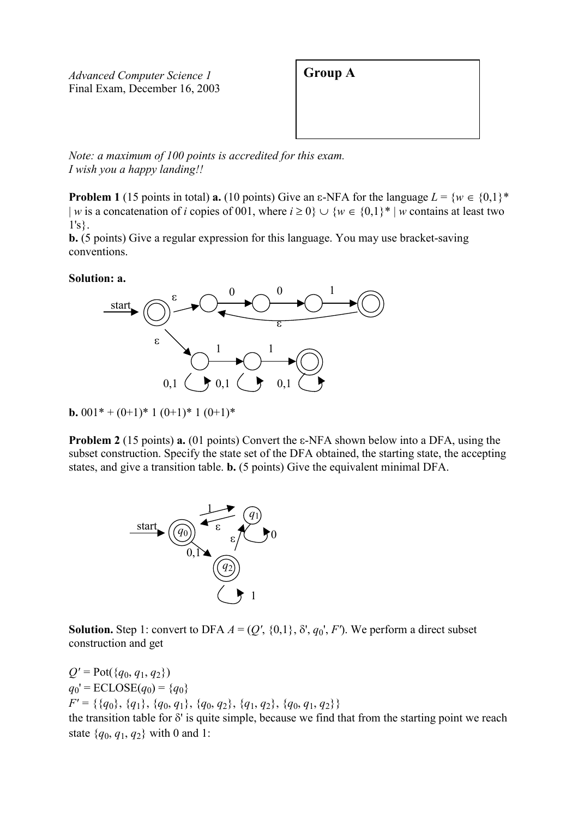*Advanced Computer Science 1* **Group A** Final Exam, December 16, 2003



*Note: a maximum of 100 points is accredited for this exam. I wish you a happy landing!!*

**Problem 1** (15 points in total) **a.** (10 points) Give an  $\epsilon$ -NFA for the language  $L = \{w \in \{0,1\}^*$ | *w* is a concatenation of *i* copies of 001, where  $i \ge 0$ }  $\cup$  { $w \in \{0,1\}^*$  | *w* contains at least two 1's}.

**b.** (5 points) Give a regular expression for this language. You may use bracket-saving conventions.

#### **Solution: a.**



**b.** 001\* +  $(0+1)$ \* 1 $(0+1)$ \* 1 $(0+1)$ \*

**Problem 2** (15 points) **a.** (01 points) Convert the  $\varepsilon$ -NFA shown below into a DFA, using the subset construction. Specify the state set of the DFA obtained, the starting state, the accepting states, and give a transition table. **b.** (5 points) Give the equivalent minimal DFA.



**Solution.** Step 1: convert to DFA  $A = (Q', \{0,1\}, \delta', q_0', F')$ . We perform a direct subset construction and get

 $Q' = \text{Pot}(\{q_0, q_1, q_2\})$  $q_0' = \text{ECLOSE}(q_0) = \{q_0\}$ *F' =* {{*q*0}, {*q*1}, {*q*0, *q*1}, {*q*0, *q*2}, {*q*1, *q*2}, {*q*0, *q*1, *q*2}} the transition table for  $\delta'$  is quite simple, because we find that from the starting point we reach state {*q*0, *q*1, *q*2} with 0 and 1: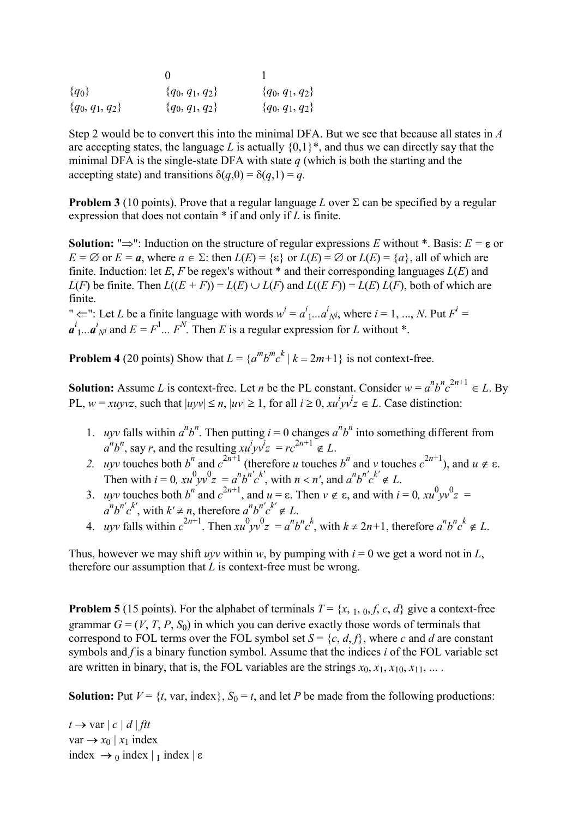| ${q_0}$             | ${q_0, q_1, q_2}$   | $\{q_0, q_1, q_2\}$ |
|---------------------|---------------------|---------------------|
| $\{q_0, q_1, q_2\}$ | $\{q_0, q_1, q_2\}$ | $\{q_0, q_1, q_2\}$ |

Step 2 would be to convert this into the minimal DFA. But we see that because all states in *A* are accepting states, the language *L* is actually  $\{0,1\}^*$ , and thus we can directly say that the minimal DFA is the single-state DFA with state *q* (which is both the starting and the accepting state) and transitions  $\delta(q,0) = \delta(q,1) = q$ .

**Problem 3** (10 points). Prove that a regular language L over  $\Sigma$  can be specified by a regular expression that does not contain \* if and only if *L* is finite.

**Solution:** " $\Rightarrow$ ": Induction on the structure of regular expressions *E* without \*. Basis:  $E = \epsilon$  or  $E = \emptyset$  or  $E = a$ , where  $a \in \Sigma$ : then  $L(E) = \{\varepsilon\}$  or  $L(E) = \emptyset$  or  $L(E) = \{a\}$ , all of which are finite. Induction: let  $E$ ,  $F$  be regex's without  $*$  and their corresponding languages  $L(E)$  and *L*(*F*) be finite. Then  $L((E + F)) = L(E) \cup L(F)$  and  $L((E F)) = L(E) L(F)$ , both of which are finite.

"  $\Leftarrow$ ": Let *L* be a finite language with words  $w^i = a^i_1...a^i_N$ , where  $i = 1, ..., N$ . Put  $F^i =$  $a^i_1... a^i_N$  and  $E = F^1... F^N$ . Then *E* is a regular expression for *L* without \*.

**Problem 4** (20 points) Show that  $L = \{a^m b^m c^k | k = 2m+1\}$  is not context-free.

**Solution:** Assume *L* is context-free. Let *n* be the PL constant. Consider  $w = a^n b^n c^{2n+1} \in L$ . By PL,  $w = xuyvz$ , such that  $|uyv| \le n$ ,  $|uv| \ge 1$ , for all  $i \ge 0$ ,  $xu^i yv^i z \in L$ . Case distinction:

- 1. *uyv* falls within  $a^n b^n$ . Then putting  $i = 0$  changes  $a^n b^n$  into something different from  $a^n b^n$ , say *r*, and the resulting  $x u^i y v^i z = r c^{2n+1} \notin L$ .
- 2. uyv touches both  $b^n$  and  $c^{2n+1}$  (therefore *u* touches  $b^n$  and *v* touches  $c^{2n+1}$ ), and  $u \notin \varepsilon$ . Then with  $i = 0$ ,  $xu^0 yv^0 z = a^n b^{n'} c^{k'}$ , with  $n < n'$ , and  $a^n b^{n'} c^{k'} \notin L$ .
- 3. *uyv* touches both  $b^n$  and  $c^{2n+1}$ , and  $u = \varepsilon$ . Then  $v \notin \varepsilon$ , and with  $i = 0$ ,  $xu^0 yv^0 z =$  $a^n b^n c^{k'}$ , with  $k' \neq n$ , therefore  $a^n b^{n'} c^{k'} \notin L$ .
- 4. uyv falls within  $c^{2n+1}$ . Then  $xu^0 yv^0 z = a^n b^n c^k$ , with  $k \ne 2n+1$ , therefore  $a^n b^n c^k \notin L$ .

Thus, however we may shift *uyv* within *w*, by pumping with  $i = 0$  we get a word not in *L*, therefore our assumption that *L* is context-free must be wrong.

**Problem 5** (15 points). For the alphabet of terminals  $T = \{x, 1, 0, f, c, d\}$  give a context-free grammar  $G = (V, T, P, S_0)$  in which you can derive exactly those words of terminals that correspond to FOL terms over the FOL symbol set  $S = \{c, d, f\}$ , where *c* and *d* are constant symbols and *f* is a binary function symbol. Assume that the indices *i* of the FOL variable set are written in binary, that is, the FOL variables are the strings  $x_0$ ,  $x_1$ ,  $x_{10}$ ,  $x_{11}$ , ... .

**Solution:** Put  $V = \{t, \text{var}, \text{index}\}, S_0 = t$ , and let *P* be made from the following productions:

 $t \rightarrow \text{var} |c| d | \text{f} t t$  $var \rightarrow x_0 | x_1$  index index  $\rightarrow$  0 index | 1 index |  $\varepsilon$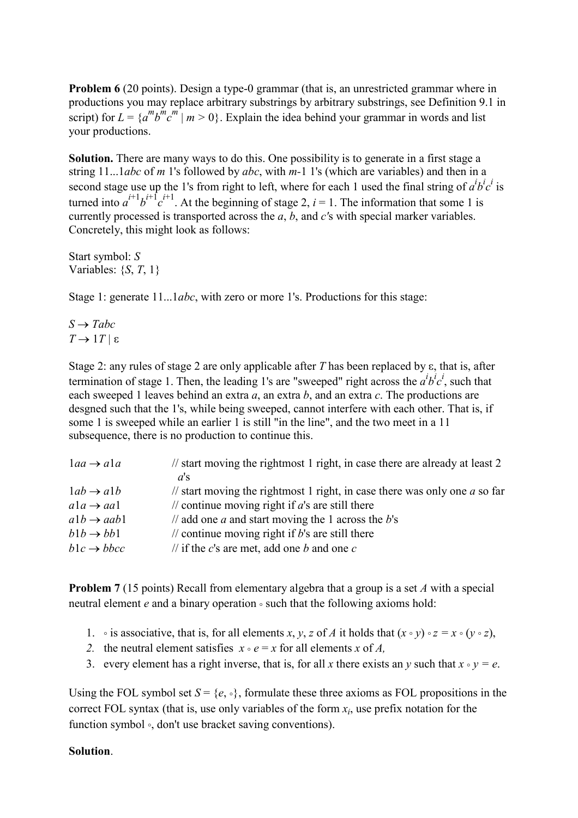**Problem 6** (20 points). Design a type-0 grammar (that is, an unrestricted grammar where in productions you may replace arbitrary substrings by arbitrary substrings, see Definition 9.1 in script) for  $L = \{a^m b^m c^m | m > 0\}$ . Explain the idea behind your grammar in words and list your productions.

**Solution.** There are many ways to do this. One possibility is to generate in a first stage a string 11...1*abc* of *m* 1's followed by *abc*, with *m-*1 1's (which are variables) and then in a second stage use up the 1's from right to left, where for each 1 used the final string of  $a^i b^i c^i$  is turned into  $a^{i+1}b^{i+\int}c^{i+1}$ . At the beginning of stage 2, *i* = 1. The information that some 1 is currently processed is transported across the *a*, *b*, and *c'*s with special marker variables. Concretely, this might look as follows:

Start symbol: *S*  Variables: {*S*, *T*, 1}

Stage 1: generate 11...1*abc*, with zero or more 1's. Productions for this stage:

 $S \rightarrow$  *Tabc*  $T \rightarrow 1T \mid \varepsilon$ 

Stage 2: any rules of stage 2 are only applicable after *T* has been replaced by  $\varepsilon$ , that is, after termination of stage 1. Then, the leading 1's are "sweeped" right across the  $a^i b^i c^i$ , such that each sweeped 1 leaves behind an extra *a*, an extra *b*, and an extra *c*. The productions are desgned such that the 1's, while being sweeped, cannot interfere with each other. That is, if some 1 is sweeped while an earlier 1 is still "in the line", and the two meet in a 11 subsequence, there is no production to continue this.

| $1aa \rightarrow a1a$  | $\frac{1}{1}$ start moving the rightmost 1 right, in case there are already at least 2<br>$a$ 's |
|------------------------|--------------------------------------------------------------------------------------------------|
| $1ab \rightarrow a1b$  | // start moving the rightmost 1 right, in case there was only one $\alpha$ so far                |
| $a1a \rightarrow aa1$  | // continue moving right if $a$ 's are still there                                               |
| $a1b \rightarrow aab1$ | // add one <i>a</i> and start moving the 1 across the $b$ 's                                     |
| $b1b \rightarrow bb1$  | // continue moving right if $b$ 's are still there                                               |
| $b1c \rightarrow bbcc$ | // if the c's are met, add one b and one c                                                       |

**Problem 7** (15 points) Recall from elementary algebra that a group is a set *A* with a special neutral element *e* and a binary operation ° such that the following axioms hold:

- 1. is associative, that is, for all elements *x*, *y*, *z* of *A* it holds that  $(x \circ y) \circ z = x \circ (y \circ z)$ ,
- 2. the neutral element satisfies  $x \circ e = x$  for all elements *x* of *A*.
- 3. every element has a right inverse, that is, for all *x* there exists an *y* such that  $x \circ y = e$ .

Using the FOL symbol set  $S = \{e, \circ\}$ , formulate these three axioms as FOL propositions in the correct FOL syntax (that is, use only variables of the form *xi*, use prefix notation for the function symbol °, don't use bracket saving conventions).

#### **Solution**.